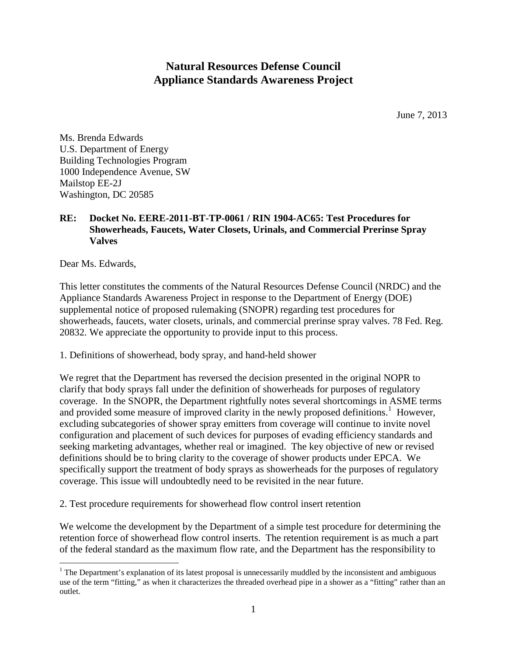## **Natural Resources Defense Council Appliance Standards Awareness Project**

June 7, 2013

Ms. Brenda Edwards U.S. Department of Energy Building Technologies Program 1000 Independence Avenue, SW Mailstop EE-2J Washington, DC 20585

## **RE: Docket No. EERE-2011-BT-TP-0061 / RIN 1904-AC65: Test Procedures for Showerheads, Faucets, Water Closets, Urinals, and Commercial Prerinse Spray Valves**

Dear Ms. Edwards,

This letter constitutes the comments of the Natural Resources Defense Council (NRDC) and the Appliance Standards Awareness Project in response to the Department of Energy (DOE) supplemental notice of proposed rulemaking (SNOPR) regarding test procedures for showerheads, faucets, water closets, urinals, and commercial prerinse spray valves. 78 Fed. Reg. 20832. We appreciate the opportunity to provide input to this process.

1. Definitions of showerhead, body spray, and hand-held shower

We regret that the Department has reversed the decision presented in the original NOPR to clarify that body sprays fall under the definition of showerheads for purposes of regulatory coverage. In the SNOPR, the Department rightfully notes several shortcomings in ASME terms and provided some measure of improved clarity in the newly proposed definitions.<sup>[1](#page-0-0)</sup> However, excluding subcategories of shower spray emitters from coverage will continue to invite novel configuration and placement of such devices for purposes of evading efficiency standards and seeking marketing advantages, whether real or imagined. The key objective of new or revised definitions should be to bring clarity to the coverage of shower products under EPCA. We specifically support the treatment of body sprays as showerheads for the purposes of regulatory coverage. This issue will undoubtedly need to be revisited in the near future.

2. Test procedure requirements for showerhead flow control insert retention

We welcome the development by the Department of a simple test procedure for determining the retention force of showerhead flow control inserts. The retention requirement is as much a part of the federal standard as the maximum flow rate, and the Department has the responsibility to

<span id="page-0-0"></span><sup>&</sup>lt;sup>1</sup> The Department's explanation of its latest proposal is unnecessarily muddled by the inconsistent and ambiguous use of the term "fitting," as when it characterizes the threaded overhead pipe in a shower as a "fitting" rather than an outlet.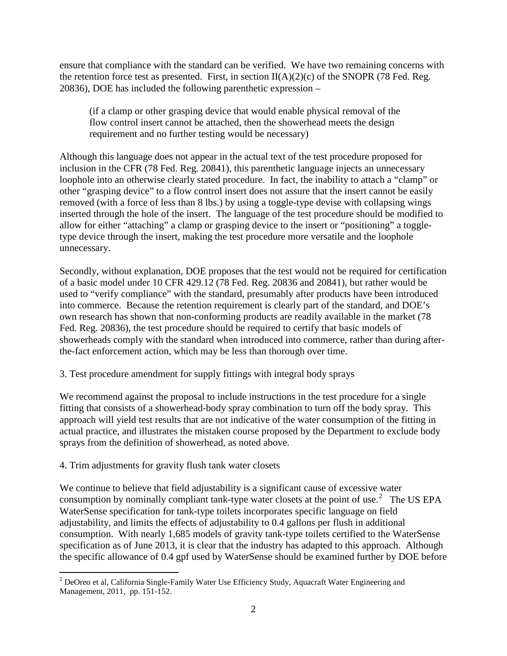ensure that compliance with the standard can be verified. We have two remaining concerns with the retention force test as presented. First, in section  $II(A)(2)(c)$  of the SNOPR (78 Fed. Reg. 20836), DOE has included the following parenthetic expression –

(if a clamp or other grasping device that would enable physical removal of the flow control insert cannot be attached, then the showerhead meets the design requirement and no further testing would be necessary)

Although this language does not appear in the actual text of the test procedure proposed for inclusion in the CFR (78 Fed. Reg. 20841), this parenthetic language injects an unnecessary loophole into an otherwise clearly stated procedure. In fact, the inability to attach a "clamp" or other "grasping device" to a flow control insert does not assure that the insert cannot be easily removed (with a force of less than 8 lbs.) by using a toggle-type devise with collapsing wings inserted through the hole of the insert. The language of the test procedure should be modified to allow for either "attaching" a clamp or grasping device to the insert or "positioning" a toggletype device through the insert, making the test procedure more versatile and the loophole unnecessary.

Secondly, without explanation, DOE proposes that the test would not be required for certification of a basic model under 10 CFR 429.12 (78 Fed. Reg. 20836 and 20841), but rather would be used to "verify compliance" with the standard, presumably after products have been introduced into commerce. Because the retention requirement is clearly part of the standard, and DOE's own research has shown that non-conforming products are readily available in the market (78 Fed. Reg. 20836), the test procedure should be required to certify that basic models of showerheads comply with the standard when introduced into commerce, rather than during afterthe-fact enforcement action, which may be less than thorough over time.

3. Test procedure amendment for supply fittings with integral body sprays

We recommend against the proposal to include instructions in the test procedure for a single fitting that consists of a showerhead-body spray combination to turn off the body spray. This approach will yield test results that are not indicative of the water consumption of the fitting in actual practice, and illustrates the mistaken course proposed by the Department to exclude body sprays from the definition of showerhead, as noted above.

## 4. Trim adjustments for gravity flush tank water closets

We continue to believe that field adjustability is a significant cause of excessive water consumption by nominally compliant tank-type water closets at the point of use.<sup>[2](#page-1-0)</sup> The US EPA WaterSense specification for tank-type toilets incorporates specific language on field adjustability, and limits the effects of adjustability to 0.4 gallons per flush in additional consumption. With nearly 1,685 models of gravity tank-type toilets certified to the WaterSense specification as of June 2013, it is clear that the industry has adapted to this approach. Although the specific allowance of 0.4 gpf used by WaterSense should be examined further by DOE before

<span id="page-1-0"></span><sup>&</sup>lt;sup>2</sup> DeOreo et al, California Single-Family Water Use Efficiency Study, Aquacraft Water Engineering and Management, 2011, pp. 151-152.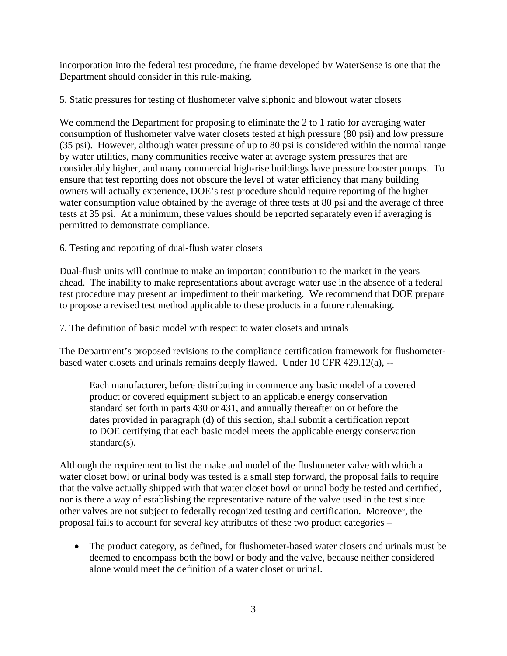incorporation into the federal test procedure, the frame developed by WaterSense is one that the Department should consider in this rule-making.

5. Static pressures for testing of flushometer valve siphonic and blowout water closets

We commend the Department for proposing to eliminate the 2 to 1 ratio for averaging water consumption of flushometer valve water closets tested at high pressure (80 psi) and low pressure (35 psi). However, although water pressure of up to 80 psi is considered within the normal range by water utilities, many communities receive water at average system pressures that are considerably higher, and many commercial high-rise buildings have pressure booster pumps. To ensure that test reporting does not obscure the level of water efficiency that many building owners will actually experience, DOE's test procedure should require reporting of the higher water consumption value obtained by the average of three tests at 80 psi and the average of three tests at 35 psi. At a minimum, these values should be reported separately even if averaging is permitted to demonstrate compliance.

## 6. Testing and reporting of dual-flush water closets

Dual-flush units will continue to make an important contribution to the market in the years ahead. The inability to make representations about average water use in the absence of a federal test procedure may present an impediment to their marketing. We recommend that DOE prepare to propose a revised test method applicable to these products in a future rulemaking.

7. The definition of basic model with respect to water closets and urinals

The Department's proposed revisions to the compliance certification framework for flushometerbased water closets and urinals remains deeply flawed. Under 10 CFR 429.12(a), --

Each manufacturer, before distributing in commerce any basic model of a covered product or covered equipment subject to an applicable energy conservation standard set forth in parts 430 or 431, and annually thereafter on or before the dates provided in paragraph (d) of this section, shall submit a certification report to DOE certifying that each basic model meets the applicable energy conservation standard(s).

Although the requirement to list the make and model of the flushometer valve with which a water closet bowl or urinal body was tested is a small step forward, the proposal fails to require that the valve actually shipped with that water closet bowl or urinal body be tested and certified, nor is there a way of establishing the representative nature of the valve used in the test since other valves are not subject to federally recognized testing and certification. Moreover, the proposal fails to account for several key attributes of these two product categories –

• The product category, as defined, for flushometer-based water closets and urinals must be deemed to encompass both the bowl or body and the valve, because neither considered alone would meet the definition of a water closet or urinal.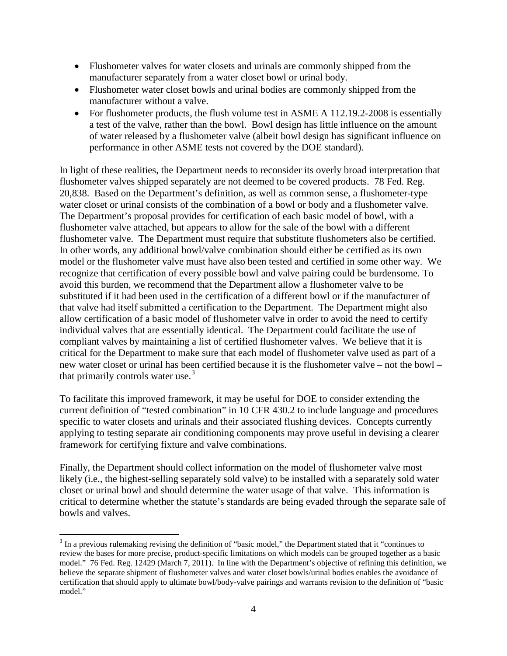- Flushometer valves for water closets and urinals are commonly shipped from the manufacturer separately from a water closet bowl or urinal body.
- Flushometer water closet bowls and urinal bodies are commonly shipped from the manufacturer without a valve.
- For flushometer products, the flush volume test in ASME A 112.19.2-2008 is essentially a test of the valve, rather than the bowl. Bowl design has little influence on the amount of water released by a flushometer valve (albeit bowl design has significant influence on performance in other ASME tests not covered by the DOE standard).

In light of these realities, the Department needs to reconsider its overly broad interpretation that flushometer valves shipped separately are not deemed to be covered products. 78 Fed. Reg. 20,838. Based on the Department's definition, as well as common sense, a flushometer-type water closet or urinal consists of the combination of a bowl or body and a flushometer valve. The Department's proposal provides for certification of each basic model of bowl, with a flushometer valve attached, but appears to allow for the sale of the bowl with a different flushometer valve. The Department must require that substitute flushometers also be certified. In other words, any additional bowl/valve combination should either be certified as its own model or the flushometer valve must have also been tested and certified in some other way. We recognize that certification of every possible bowl and valve pairing could be burdensome. To avoid this burden, we recommend that the Department allow a flushometer valve to be substituted if it had been used in the certification of a different bowl or if the manufacturer of that valve had itself submitted a certification to the Department. The Department might also allow certification of a basic model of flushometer valve in order to avoid the need to certify individual valves that are essentially identical. The Department could facilitate the use of compliant valves by maintaining a list of certified flushometer valves. We believe that it is critical for the Department to make sure that each model of flushometer valve used as part of a new water closet or urinal has been certified because it is the flushometer valve – not the bowl – that primarily controls water use. $3$ 

To facilitate this improved framework, it may be useful for DOE to consider extending the current definition of "tested combination" in 10 CFR 430.2 to include language and procedures specific to water closets and urinals and their associated flushing devices. Concepts currently applying to testing separate air conditioning components may prove useful in devising a clearer framework for certifying fixture and valve combinations.

Finally, the Department should collect information on the model of flushometer valve most likely (i.e., the highest-selling separately sold valve) to be installed with a separately sold water closet or urinal bowl and should determine the water usage of that valve. This information is critical to determine whether the statute's standards are being evaded through the separate sale of bowls and valves.

<span id="page-3-0"></span><sup>&</sup>lt;sup>3</sup> In a previous rulemaking revising the definition of "basic model," the Department stated that it "continues to review the bases for more precise, product-specific limitations on which models can be grouped together as a basic model." 76 Fed. Reg. 12429 (March 7, 2011). In line with the Department's objective of refining this definition, we believe the separate shipment of flushometer valves and water closet bowls/urinal bodies enables the avoidance of certification that should apply to ultimate bowl/body-valve pairings and warrants revision to the definition of "basic model."